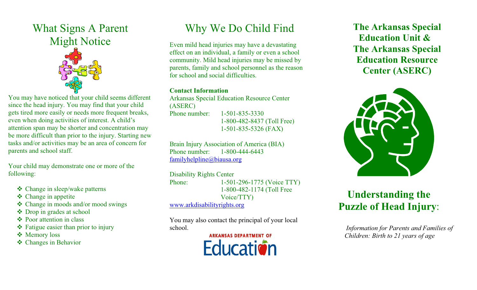### What Signs A Parent Might Notice



You may have noticed that your child seems different since the head injury. You may find that your child gets tired more easily or needs more frequent breaks, even when doing activities of interest. A child's attention span may be shorter and concentration may be more difficult than prior to the injury. Starting new tasks and/or activities may be an area of concern for parents and school staff.

Your child may demonstrate one or more of the following:

- Change in sleep/wake patterns
- **❖** Change in appetite
- Change in moods and/or mood swings
- Drop in grades at school
- Poor attention in class
- $\triangleleft$  Fatigue easier than prior to injury
- **❖** Memory loss
- Changes in Behavior

# Why We Do Child Find

Even mild head injuries may have a devastating effect on an individual, a family or even a school community. Mild head injuries may be missed by parents, family and school personnel as the reason for school and social difficulties.

#### **Contact Information**

Arkansas Special Education Resource Center (ASERC) Phone number: 1-501-835-3330 1-800-482-8437 (Toll Free) 1-501-835-5326 (FAX)

Brain Injury Association of America (BIA) Phone number: 1-800-444-6443 familyhelpline@biausa.org

#### Disability Rights Center

Phone: 1-501-296-1775 (Voice TTY) 1-800-482-1174 (Toll Free Voice/TTY)

www.arkdisabilityrights.org

You may also contact the principal of your local school.

> **ARKANSAS DEPARTMENT OF Fducation**

 **The Arkansas Special Education Unit & The Arkansas Special Education Resource Center (ASERC)** 



## **Understanding the Puzzle of Head Injury**:

 *Information for Parents and Families of Children: Birth to 21 years of age*